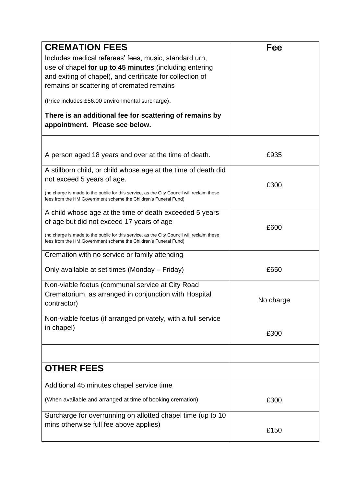| <b>CREMATION FEES</b><br>Includes medical referees' fees, music, standard urn,<br>use of chapel for up to 45 minutes (including entering<br>and exiting of chapel), and certificate for collection of<br>remains or scattering of cremated remains<br>(Price includes £56.00 environmental surcharge).<br>There is an additional fee for scattering of remains by<br>appointment. Please see below. | Fee       |
|-----------------------------------------------------------------------------------------------------------------------------------------------------------------------------------------------------------------------------------------------------------------------------------------------------------------------------------------------------------------------------------------------------|-----------|
| A person aged 18 years and over at the time of death.                                                                                                                                                                                                                                                                                                                                               | £935      |
| A stillborn child, or child whose age at the time of death did<br>not exceed 5 years of age.<br>(no charge is made to the public for this service, as the City Council will reclaim these<br>fees from the HM Government scheme the Children's Funeral Fund)                                                                                                                                        | £300      |
| A child whose age at the time of death exceeded 5 years<br>of age but did not exceed 17 years of age<br>(no charge is made to the public for this service, as the City Council will reclaim these<br>fees from the HM Government scheme the Children's Funeral Fund)                                                                                                                                | £600      |
| Cremation with no service or family attending<br>Only available at set times (Monday – Friday)                                                                                                                                                                                                                                                                                                      | £650      |
| Non-viable foetus (communal service at City Road<br>Crematorium, as arranged in conjunction with Hospital<br>contractor)                                                                                                                                                                                                                                                                            | No charge |
| Non-viable foetus (if arranged privately, with a full service<br>in chapel)                                                                                                                                                                                                                                                                                                                         | £300      |
| <b>OTHER FEES</b>                                                                                                                                                                                                                                                                                                                                                                                   |           |
| Additional 45 minutes chapel service time<br>(When available and arranged at time of booking cremation)                                                                                                                                                                                                                                                                                             | £300      |
| Surcharge for overrunning on allotted chapel time (up to 10<br>mins otherwise full fee above applies)                                                                                                                                                                                                                                                                                               | £150      |